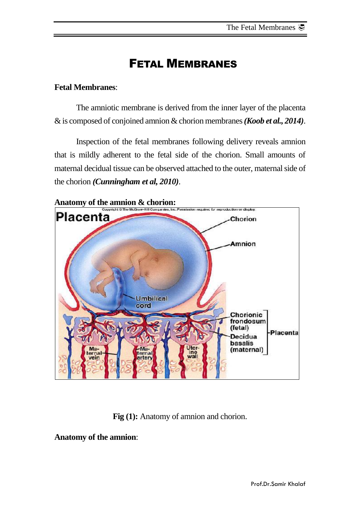# FETAL MEMBRANES

# **Fetal Membranes**:

The amniotic membrane is derived from the inner layer of the placenta & is composed of conjoined amnion & chorion membranes*(Koob et al., 2014)*.

Inspection of the fetal membranes following delivery reveals amnion that is mildly adherent to the fetal side of the chorion. Small amounts of maternal decidual tissue can be observed attached to the outer, maternal side of the chorion *(Cunningham et al, 2010)*.



**Fig (1):** Anatomy of amnion and chorion.

**Anatomy of the amnion**: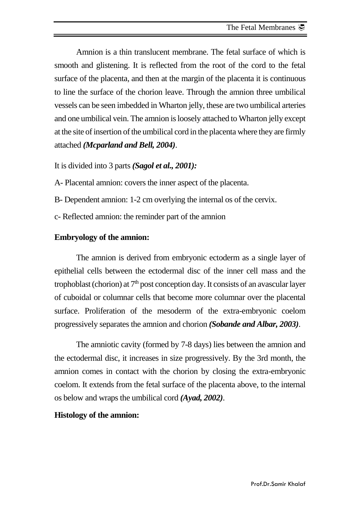Amnion is a thin translucent membrane. The fetal surface of which is smooth and glistening. It is reflected from the root of the cord to the fetal surface of the placenta, and then at the margin of the placenta it is continuous to line the surface of the chorion leave. Through the amnion three umbilical vessels can be seen imbedded in Wharton jelly, these are two umbilical arteries and one umbilical vein. The amnion is loosely attached to Wharton jelly except at the site of insertion of the umbilical cord in the placenta where they are firmly attached *(Mcparland and Bell, 2004)*.

# It is divided into 3 parts *(Sagol et al., 2001):*

A- Placental amnion: covers the inner aspect of the placenta.

- B- Dependent amnion: 1-2 cm overlying the internal os of the cervix.
- c- Reflected amnion: the reminder part of the amnion

# **Embryology of the amnion:**

The amnion is derived from embryonic ectoderm as a single layer of epithelial cells between the ectodermal disc of the inner cell mass and the trophoblast (chorion) at  $7<sup>th</sup>$  post conception day. It consists of an avascular layer of cuboidal or columnar cells that become more columnar over the placental surface. Proliferation of the mesoderm of the extra-embryonic coelom progressively separates the amnion and chorion *(Sobande and Albar, 2003)*.

The amniotic cavity (formed by 7-8 days) lies between the amnion and the ectodermal disc, it increases in size progressively. By the 3rd month, the amnion comes in contact with the chorion by closing the extra-embryonic coelom. It extends from the fetal surface of the placenta above, to the internal os below and wraps the umbilical cord *(Ayad, 2002)*.

# **Histology of the amnion:**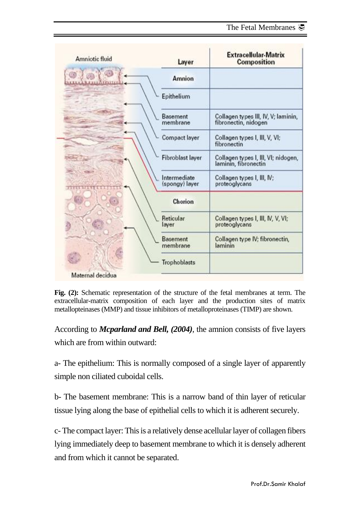| Amniotic fluid     | Layer                          | <b>Extracellular-Matrix</b><br><b>Composition</b>           |
|--------------------|--------------------------------|-------------------------------------------------------------|
| <b>NOUVATRILLE</b> | Amnion                         |                                                             |
|                    | Epithelium                     |                                                             |
|                    | Basement<br>membrane           | Collagen types III, IV, V; laminin,<br>fibronectin, nidogen |
|                    | Compact layer                  | Collagen types I, III, V, VI;<br>fibronectin                |
|                    | Fibroblast layer               | Collagen types I, III, VI; nidogen,<br>laminin, fibronectin |
|                    | Intermediate<br>(spongy) layer | Collagen types I, III, IV;<br>proteoglycans                 |
|                    | Chorion                        |                                                             |
|                    | Reticular<br>layer             | Collagen types I, III, N, V, VI;<br>proteoglycans           |
|                    | Basement<br>membrane           | Collagen type IV; fibronectin,<br>laminin                   |
|                    | Trophoblasts                   |                                                             |
| Maternal decidua   |                                |                                                             |

**Fig. (2):** Schematic representation of the structure of the fetal membranes at term. The extracellular-matrix composition of each layer and the production sites of matrix metallopteinases (MMP) and tissue inhibitors of metalloproteinases (TIMP) are shown.

According to *Mcparland and Bell, (2004)*, the amnion consists of five layers which are from within outward:

a- The epithelium: This is normally composed of a single layer of apparently simple non ciliated cuboidal cells.

b- The basement membrane: This is a narrow band of thin layer of reticular tissue lying along the base of epithelial cells to which it is adherent securely.

c- The compact layer: This is a relatively dense acellular layer of collagen fibers lying immediately deep to basement membrane to which it is densely adherent and from which it cannot be separated.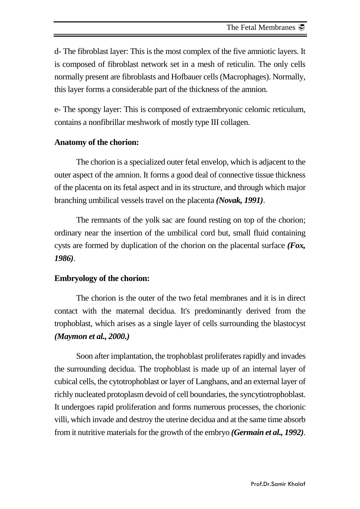d- The fibroblast layer: This is the most complex of the five amniotic layers. It is composed of fibroblast network set in a mesh of reticulin. The only cells normally present are fibroblasts and Hofbauer cells (Macrophages). Normally, this layer forms a considerable part of the thickness of the amnion.

e- The spongy layer: This is composed of extraembryonic celomic reticulum, contains a nonfibrillar meshwork of mostly type III collagen.

# **Anatomy of the chorion:**

The chorion is a specialized outer fetal envelop, which is adjacent to the outer aspect of the amnion. It forms a good deal of connective tissue thickness of the placenta on its fetal aspect and in its structure, and through which major branching umbilical vessels travel on the placenta *(Novak, 1991)*.

The remnants of the yolk sac are found resting on top of the chorion; ordinary near the insertion of the umbilical cord but, small fluid containing cysts are formed by duplication of the chorion on the placental surface *(Fox, 1986)*.

# **Embryology of the chorion:**

The chorion is the outer of the two fetal membranes and it is in direct contact with the maternal decidua. It's predominantly derived from the trophoblast, which arises as a single layer of cells surrounding the blastocyst *(Maymon et al., 2000.)*

Soon after implantation, the trophoblast proliferates rapidly and invades the surrounding decidua. The trophoblast is made up of an internal layer of cubical cells, the cytotrophoblast or layer of Langhans, and an external layer of richly nucleated protoplasm devoid of cell boundaries, the syncytiotrophoblast. It undergoes rapid proliferation and forms numerous processes, the chorionic villi, which invade and destroy the uterine decidua and at the same time absorb from it nutritive materials for the growth of the embryo *(Germain et al., 1992)*.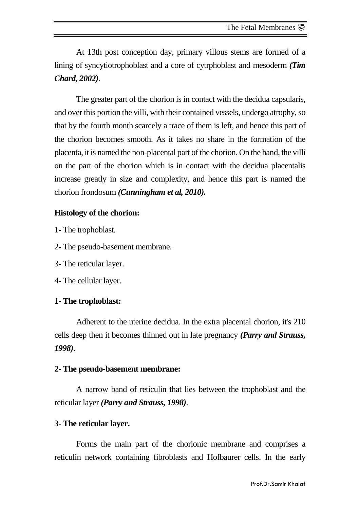At 13th post conception day, primary villous stems are formed of a lining of syncytiotrophoblast and a core of cytrphoblast and mesoderm *(Tim Chard, 2002)*.

The greater part of the chorion is in contact with the decidua capsularis, and over this portion the villi, with their contained vessels, undergo atrophy, so that by the fourth month scarcely a trace of them is left, and hence this part of the chorion becomes smooth. As it takes no share in the formation of the placenta, it is named the non-placental part of the chorion. On the hand, the villi on the part of the chorion which is in contact with the decidua placentalis increase greatly in size and complexity, and hence this part is named the chorion frondosum *(Cunningham et al, 2010).*

# **Histology of the chorion:**

- 1- The trophoblast.
- 2- The pseudo-basement membrane.
- 3- The reticular layer.
- 4- The cellular layer.

### **1- The trophoblast:**

Adherent to the uterine decidua. In the extra placental chorion, it's 210 cells deep then it becomes thinned out in late pregnancy *(Parry and Strauss, 1998)*.

### **2- The pseudo-basement membrane:**

A narrow band of reticulin that lies between the trophoblast and the reticular layer *(Parry and Strauss, 1998)*.

#### **3- The reticular layer.**

Forms the main part of the chorionic membrane and comprises a reticulin network containing fibroblasts and Hofbaurer cells. In the early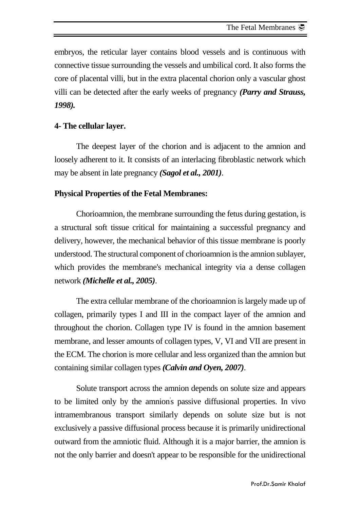embryos, the reticular layer contains blood vessels and is continuous with connective tissue surrounding the vessels and umbilical cord. It also forms the core of placental villi, but in the extra placental chorion only a vascular ghost villi can be detected after the early weeks of pregnancy *(Parry and Strauss, 1998).*

# **4- The cellular layer.**

The deepest layer of the chorion and is adjacent to the amnion and loosely adherent to it. It consists of an interlacing fibroblastic network which may be absent in late pregnancy *(Sagol et al., 2001)*.

# **Physical Properties of the Fetal Membranes:**

Chorioamnion, the membrane surrounding the fetus during gestation, is a structural soft tissue critical for maintaining a successful pregnancy and delivery, however, the mechanical behavior of this tissue membrane is poorly understood. The structural component of chorioamnion is the amnion sublayer, which provides the membrane's mechanical integrity via a dense collagen network *(Michelle et al., 2005)*.

The extra cellular membrane of the chorioamnion is largely made up of collagen, primarily types I and III in the compact layer of the amnion and throughout the chorion. Collagen type IV is found in the amnion basement membrane, and lesser amounts of collagen types, V, VI and VII are present in the ECM. The chorion is more cellular and less organized than the amnion but containing similar collagen types *(Calvin and Oyen, 2007)*.

Solute transport across the amnion depends on solute size and appears to be limited only by the amnion' s passive diffusional properties. In vivo intramembranous transport similarly depends on solute size but is not exclusively a passive diffusional process because it is primarily unidirectional outward from the amniotic fluid. Although it is a major barrier, the amnion is not the only barrier and doesn't appear to be responsible for the unidirectional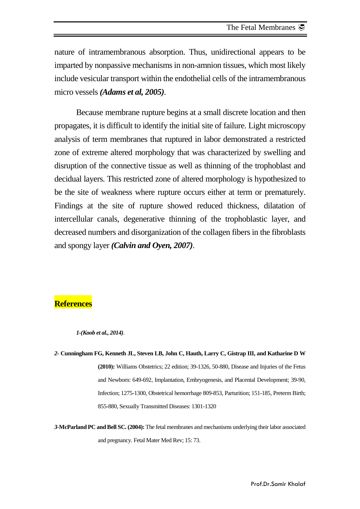nature of intramembranous absorption. Thus, unidirectional appears to be imparted by nonpassive mechanisms in non-amnion tissues, which most likely include vesicular transport within the endothelial cells of the intramembranous micro vessels *(Adams et al, 2005)*.

Because membrane rupture begins at a small discrete location and then propagates, it is difficult to identify the initial site of failure. Light microscopy analysis of term membranes that ruptured in labor demonstrated a restricted zone of extreme altered morphology that was characterized by swelling and disruption of the connective tissue as well as thinning of the trophoblast and decidual layers. This restricted zone of altered morphology is hypothesized to be the site of weakness where rupture occurs either at term or prematurely. Findings at the site of rupture showed reduced thickness, dilatation of intercellular canals, degenerative thinning of the trophoblastic layer, and decreased numbers and disorganization of the collagen fibers in the fibroblasts and spongy layer *(Calvin and Oyen, 2007)*.

# **References**

*1-(Koob et al., 2014)*.

*2-* **Cunningham FG, Kenneth JL, Steven LB, John C, Hauth, Larry C, Gistrap III, and Katharine D W (2010):** Williams Obstetrics; 22 edition; 39-1326, 50-880, Disease and Injuries of the Fetus and Newborn: 649-692, Implantation, Embryogenesis, and Placental Development; 39-90, Infection; 1275-1300, Obstetrical hemorrhage 809-853, Parturition; 151-185, Preterm Birth; 855-880, Sexually Transmitted Diseases: 1301-1320

*3-***McParland PC and Bell SC. (2004):** The fetal membranes and mechanisms underlying their labor associated and pregnancy. Fetal Mater Med Rev; 15: 73.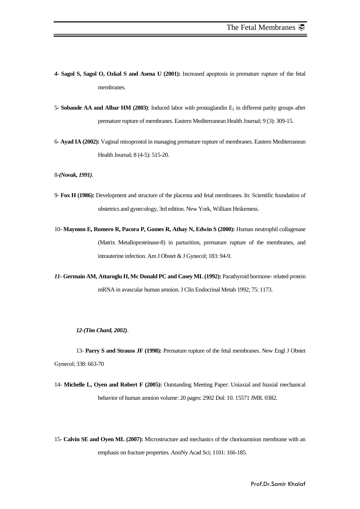- *4-* **Sagol S, Sagol O, Ozkal S and Asena U (2001):** Increased apoptosis in premature rupture of the fetal membranes.
- 5- **Sobande AA and Albar HM (2003)**: Induced labor with prostaglandin  $E_2$  in different parity groups after premature rupture of membranes. Eastern Mediterranean Health Journal; 9 (3): 309-15.
- 6- **Ayad IA (2002):** Vaginal misoprostol in managing premature rupture of membranes. Eastern Mediterranean Health Journal; 8 (4-5): 515-20.

8-*(Novak, 1991)*.

- 9- **Fox H (1986):** Development and structure of the placenta and fetal membranes. In: Scientific foundation of obstetrics and gynecology, 3rd edition. New York, William Heikemess.
- 10- **Maymon E, Romero R, Pacora P, Gomes R, Athay N, Edwin S (2000):** Human neutrophil collagenase (Matrix Metalloproteinase-8) in parturition, premature rupture of the membranes, and intrauterine infection. Am J Obstet & J Gynecol; 183: 94-9.
- *11-* **Germain AM, Attaroglu H, Mc Donald PC and Casey ML(1992):** Parathyroid hormone- related protein mRNA in avascular human amnion. J Clin Endocrinal Metab 1992; 75: 1173.

#### *12-(Tim Chard, 2002)*.

13- **Parry S and Strauss JF (1998):** Premature rupture of the fetal membranes. New Engl J Obstet Gynecol; 338: 663-70

14- **Michelle L, Oyen and Robert F (2005):** Outstanding Meeting Paper: Uniaxial and biaxial mechanical behavior of human amnion volume: 20 pages: 2902 Dol: 10. 15571 JMR. 0382.

15- **Calvin SE and Oyen ML (2007):** Microstructure and mechanics of the chorioamnion membrane with an emphasis on fracture properties. AnnNy Acad Sci; 1101: 166-185.